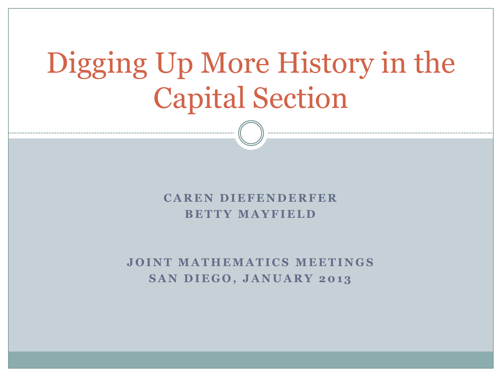# Digging Up More History in the Capital Section

### **C A R E N D I E F E N D E R F E R BETTY MAYFIELD**

### **JOINT MATHEMATICS MEETINGS SAN DIEGO, JANUARY 2013**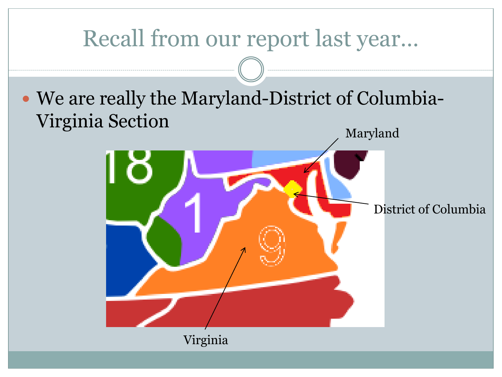### Recall from our report last year…

 We are really the Maryland-District of Columbia-Virginia Section

Maryland

### District of Columbia

Virginia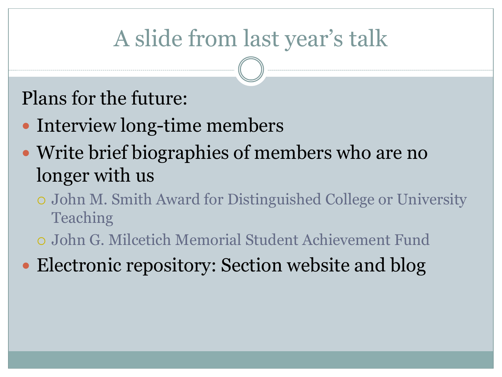## A slide from last year's talk

### Plans for the future:

- Interview long-time members
- Write brief biographies of members who are no longer with us
	- John M. Smith Award for Distinguished College or University Teaching
	- John G. Milcetich Memorial Student Achievement Fund
- Electronic repository: Section website and blog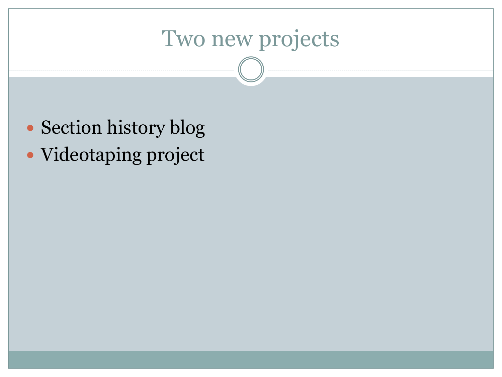## Two new projects

- Section history blog
- Videotaping project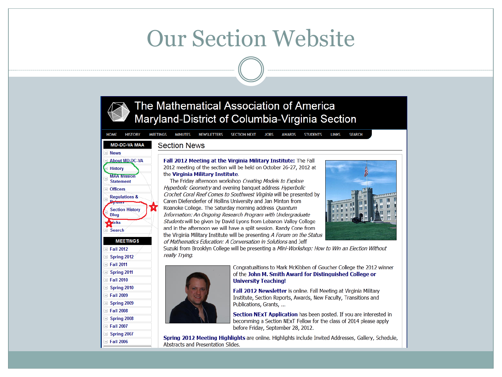### **Our Section Website**

### The Mathematical Association of America Maryland-District of Columbia-Virginia Section

**LINKS HISTORY MEETINGS MINUTES** NEWSLETTERS **SECTION NEXT JOBS AWARDS STUDENTS SEARCH** 

#### **MD-DC-VA MAA Section News**



**HOME** 



Fall 2012 Meeting at the Virginia Military Institute: The Fall 2012 meeting of the section will be held on October 26-27, 2012 at the Virginia Military Institute.

The Friday afternoon workshop Creating Models to Explore Hyperbolic Geometry and evening banquet address Hyperbolic Crochet Coral Reef Comes to Southwest Virginia will be presented by Caren Diefenderfer of Hollins University and Jan Minton from Roanoke College. The Saturday morning address Quantum Information: An Ongoing Research Program with Undergraduate Students will be given by David Lyons from Lebanon Valley College and in the afternoon we will have a split session. Randy Cone from the Virginia Military Institute will be presenting A Forum on the Status of Mathematics Education: A Conversation in Solutions and Jeff



Suzuki from Brooklyn College will be presenting a Mini-Workshop: How to Win an Election Without really Trying.



Congratualtions to Mark McKibben of Goucher College the 2012 winner of the John M. Smith Award for Distinguished College or **University Teaching!** 

Fall 2012 Newsletter is online. Fall Meeting at Virginia Military Institute, Section Reports, Awards, New Faculty, Transitions and Publications, Grants, ...

Section NExT Application has been posted. If you are interested in becomming a Section NExT Fellow for the class of 2014 please apply before Friday, September 28, 2012.

Spring 2012 Meeting Highlights are online. Highlights include Invited Addresses, Gallery, Schedule, Abstracts and Presentation Slides.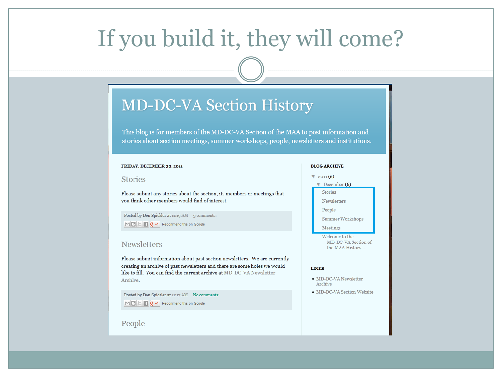## If you build it, they will come?

### **MD-DC-VA Section History**

This blog is for members of the MD-DC-VA Section of the MAA to post information and stories about section meetings, summer workshops, people, newsletters and institutions.

#### FRIDAY, DECEMBER 30, 2011

#### **Stories**

Please submit any stories about the section, its members or meetings that you think other members would find of interest.

Posted by Don Spickler at 11:19 AM 3 comments:

 $\mathbb{M} \boxminus \mathbb{H}$   $\mathbb{F}$   $\mathbb{R}$   $\mathbb{R}$  +1 Recommend this on Google

#### **Newsletters**

Please submit information about past section newsletters. We are currently creating an archive of past newsletters and there are some holes we would like to fill. You can find the current archive at MD-DC-VA Newsletter Archive.

Posted by Don Spickler at 11:17 AM No comments:  $\boxed{M}$   $\boxed{B}$   $\boxed{C}$   $\boxed{R}$  +1 Recommend this on Google

#### People

### **BLOG ARCHIVE**

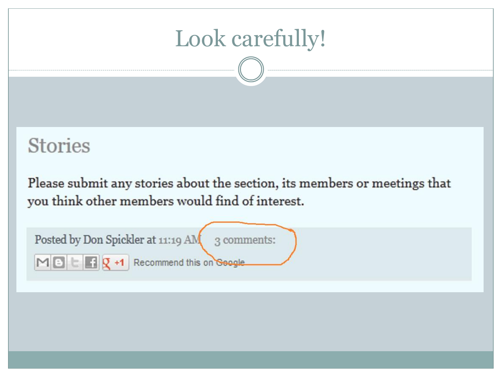## Look carefully!

### **Stories**

Please submit any stories about the section, its members or meetings that you think other members would find of interest.

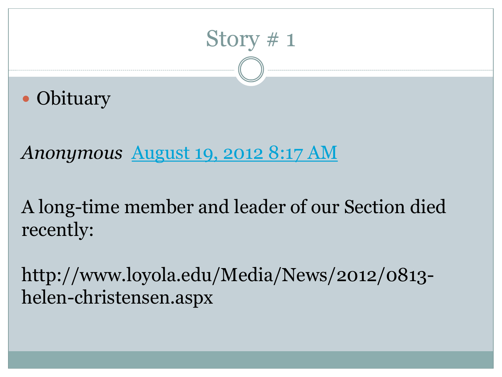## Story # 1

• Obituary

*Anonymous* [August 19, 2012 8:17 AM](http://mddcvasectionhistory.blogspot.com/2011/12/stories.html?showComment=1345389435285)

A long-time member and leader of our Section died recently:

http://www.loyola.edu/Media/News/2012/0813 helen-christensen.aspx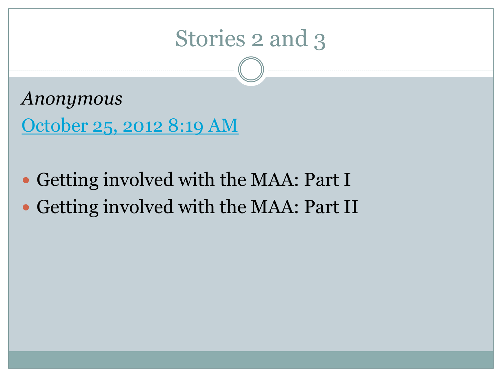### Stories 2 and 3

*Anonymous* [October 25, 2012 8:19 AM](http://mddcvasectionhistory.blogspot.com/2011/12/stories.html?showComment=1351178367937)

 Getting involved with the MAA: Part I Getting involved with the MAA: Part II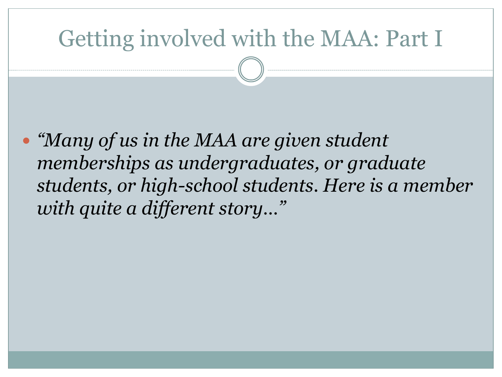### Getting involved with the MAA: Part I

 *"Many of us in the MAA are given student memberships as undergraduates, or graduate students, or high-school students. Here is a member with quite a different story…"*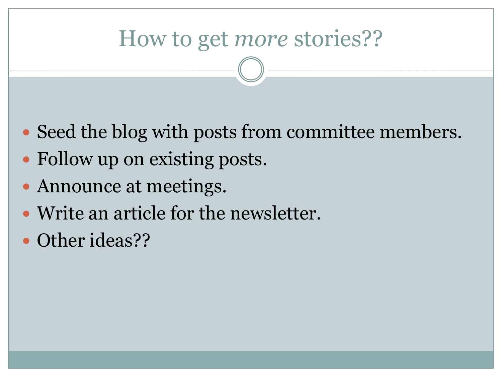### How to get *more* stories??

- Seed the blog with posts from committee members.
- Follow up on existing posts.
- Announce at meetings.
- Write an article for the newsletter.
- Other ideas??